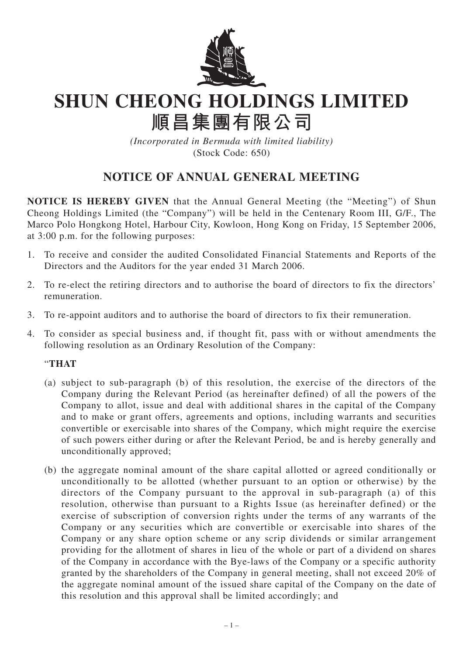

## **SHUN CHEONG HOLDINGS LIMITED 順昌集團有限公司**

*(Incorporated in Bermuda with limited liability)* (Stock Code: 650)

## **NOTICE OF ANNUAL GENERAL MEETING**

**NOTICE IS HEREBY GIVEN** that the Annual General Meeting (the "Meeting") of Shun Cheong Holdings Limited (the "Company") will be held in the Centenary Room III, G/F., The Marco Polo Hongkong Hotel, Harbour City, Kowloon, Hong Kong on Friday, 15 September 2006, at 3:00 p.m. for the following purposes:

- 1. To receive and consider the audited Consolidated Financial Statements and Reports of the Directors and the Auditors for the year ended 31 March 2006.
- 2. To re-elect the retiring directors and to authorise the board of directors to fix the directors' remuneration.
- 3. To re-appoint auditors and to authorise the board of directors to fix their remuneration.
- 4. To consider as special business and, if thought fit, pass with or without amendments the following resolution as an Ordinary Resolution of the Company:

## "**THAT**

- (a) subject to sub-paragraph (b) of this resolution, the exercise of the directors of the Company during the Relevant Period (as hereinafter defined) of all the powers of the Company to allot, issue and deal with additional shares in the capital of the Company and to make or grant offers, agreements and options, including warrants and securities convertible or exercisable into shares of the Company, which might require the exercise of such powers either during or after the Relevant Period, be and is hereby generally and unconditionally approved;
- (b) the aggregate nominal amount of the share capital allotted or agreed conditionally or unconditionally to be allotted (whether pursuant to an option or otherwise) by the directors of the Company pursuant to the approval in sub-paragraph (a) of this resolution, otherwise than pursuant to a Rights Issue (as hereinafter defined) or the exercise of subscription of conversion rights under the terms of any warrants of the Company or any securities which are convertible or exercisable into shares of the Company or any share option scheme or any scrip dividends or similar arrangement providing for the allotment of shares in lieu of the whole or part of a dividend on shares of the Company in accordance with the Bye-laws of the Company or a specific authority granted by the shareholders of the Company in general meeting, shall not exceed 20% of the aggregate nominal amount of the issued share capital of the Company on the date of this resolution and this approval shall be limited accordingly; and